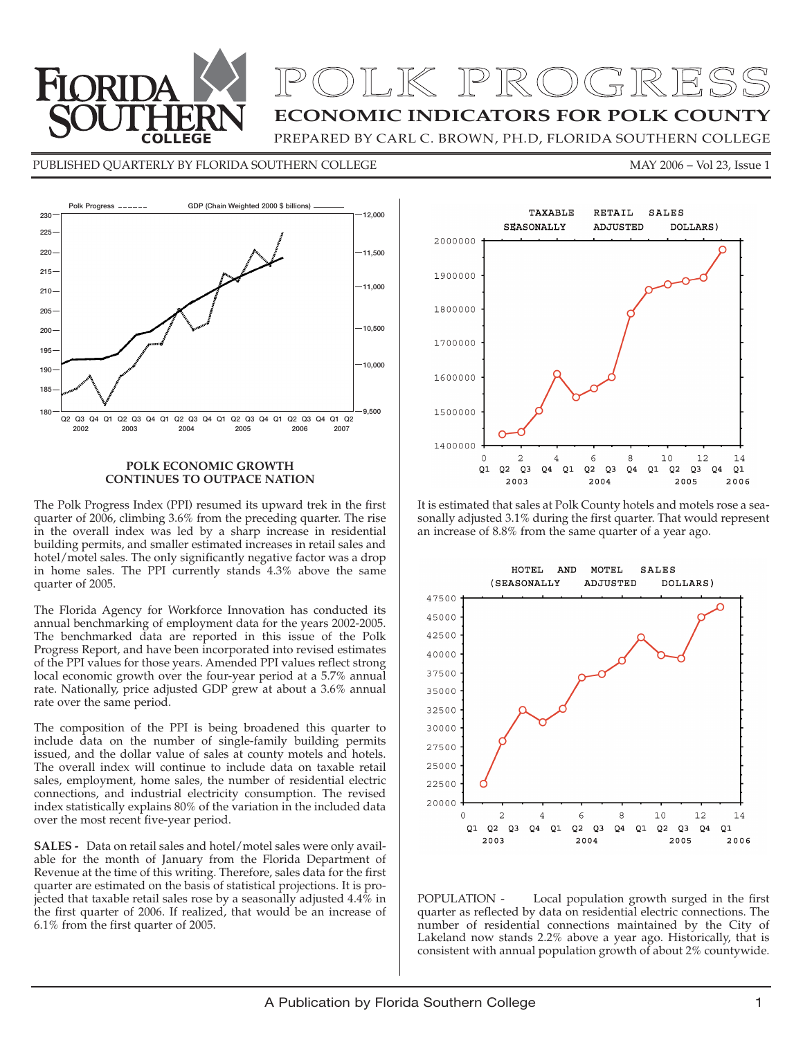

# POLK PROGRESS

## **ECONOMIC INDICATORS FOR POLK COUNTY**

PREPARED BY CARL C. BROWN, PH.D, FLORIDA SOUTHERN COLLEGE

#### PUBLISHED QUARTERLY BY FLORIDA SOUTHERN COLLEGE MAY 2006 - Vol 23, Issue 1



#### **POLK ECONOMIC GROWTH CONTINUES TO OUTPACE NATION**

The Polk Progress Index (PPI) resumed its upward trek in the first quarter of 2006, climbing 3.6% from the preceding quarter. The rise in the overall index was led by a sharp increase in residential building permits, and smaller estimated increases in retail sales and hotel/motel sales. The only significantly negative factor was a drop in home sales. The PPI currently stands 4.3% above the same quarter of 2005.

The Florida Agency for Workforce Innovation has conducted its annual benchmarking of employment data for the years 2002-2005. The benchmarked data are reported in this issue of the Polk Progress Report, and have been incorporated into revised estimates of the PPI values for those years. Amended PPI values reflect strong local economic growth over the four-year period at a 5.7% annual rate. Nationally, price adjusted GDP grew at about a 3.6% annual rate over the same period.

The composition of the PPI is being broadened this quarter to include data on the number of single-family building permits issued, and the dollar value of sales at county motels and hotels. The overall index will continue to include data on taxable retail sales, employment, home sales, the number of residential electric connections, and industrial electricity consumption. The revised index statistically explains 80% of the variation in the included data over the most recent five-year period.

**SALES -** Data on retail sales and hotel/motel sales were only available for the month of January from the Florida Department of Revenue at the time of this writing. Therefore, sales data for the first quarter are estimated on the basis of statistical projections. It is projected that taxable retail sales rose by a seasonally adjusted  $4.4\%$  in the first quarter of 2006. If realized, that would be an increase of 6.1% from the first quarter of 2005.



It is estimated that sales at Polk County hotels and motels rose a seasonally adjusted 3.1% during the first quarter. That would represent an increase of 8.8% from the same quarter of a year ago.



POPULATION - Local population growth surged in the first quarter as reflected by data on residential electric connections. The number of residential connections maintained by the City of Lakeland now stands 2.2% above a year ago. Historically, that is consistent with annual population growth of about 2% countywide.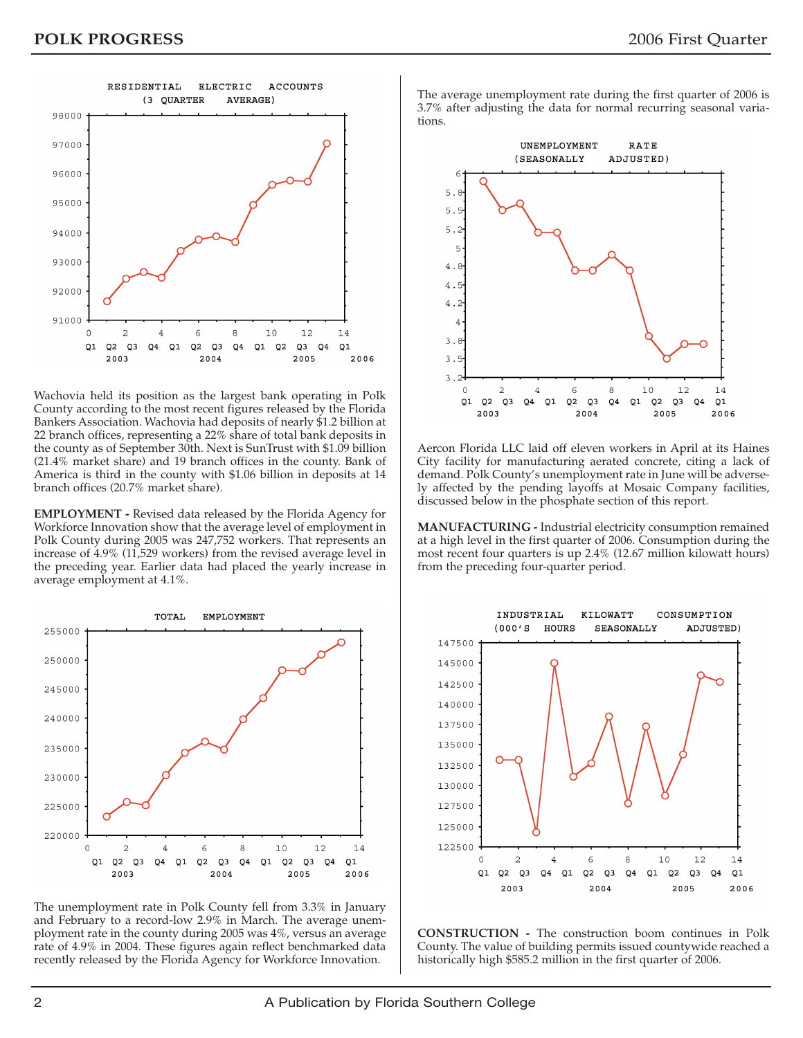

Wachovia held its position as the largest bank operating in Polk County according to the most recent figures released by the Florida Bankers Association. Wachovia had deposits of nearly \$1.2 billion at 22 branch offices, representing a 22% share of total bank deposits in the county as of September 30th. Next is SunTrust with \$1.09 billion (21.4% market share) and 19 branch offices in the county. Bank of America is third in the county with \$1.06 billion in deposits at 14 branch offices (20.7% market share).

**EMPLOYMENT -** Revised data released by the Florida Agency for Workforce Innovation show that the average level of employment in Polk County during 2005 was 247,752 workers. That represents an increase of 4.9% (11,529 workers) from the revised average level in the preceding year. Earlier data had placed the yearly increase in average employment at 4.1%.



The unemployment rate in Polk County fell from 3.3% in January and February to a record-low 2.9% in March. The average unemployment rate in the county during 2005 was 4%, versus an average rate of 4.9% in 2004. These figures again reflect benchmarked data recently released by the Florida Agency for Workforce Innovation.

The average unemployment rate during the first quarter of 2006 is 3.7% after adjusting the data for normal recurring seasonal variations.



Aercon Florida LLC laid off eleven workers in April at its Haines City facility for manufacturing aerated concrete, citing a lack of demand. Polk County's unemployment rate in June will be adversely affected by the pending layoffs at Mosaic Company facilities, discussed below in the phosphate section of this report.

**MANUFACTURING -** Industrial electricity consumption remained at a high level in the first quarter of 2006. Consumption during the most recent four quarters is up 2.4% (12.67 million kilowatt hours) from the preceding four-quarter period.



**CONSTRUCTION -** The construction boom continues in Polk County. The value of building permits issued countywide reached a historically high \$585.2 million in the first quarter of 2006.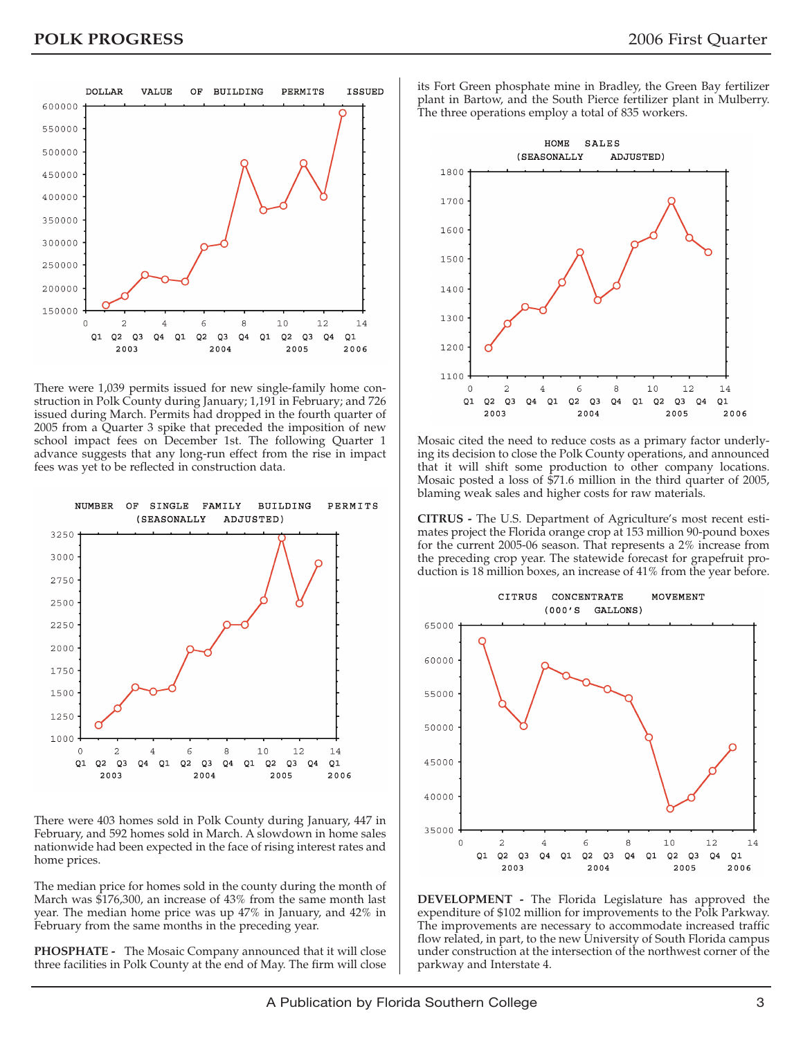

There were 1,039 permits issued for new single-family home construction in Polk County during January; 1,191 in February; and 726 issued during March. Permits had dropped in the fourth quarter of 2005 from a Quarter 3 spike that preceded the imposition of new school impact fees on December 1st. The following Quarter 1 advance suggests that any long-run effect from the rise in impact fees was yet to be reflected in construction data.



There were 403 homes sold in Polk County during January, 447 in February, and 592 homes sold in March. A slowdown in home sales nationwide had been expected in the face of rising interest rates and home prices.

The median price for homes sold in the county during the month of March was \$176,300, an increase of 43% from the same month last year. The median home price was up 47% in January, and 42% in February from the same months in the preceding year.

**PHOSPHATE -** The Mosaic Company announced that it will close three facilities in Polk County at the end of May. The firm will close its Fort Green phosphate mine in Bradley, the Green Bay fertilizer plant in Bartow, and the South Pierce fertilizer plant in Mulberry. The three operations employ a total of 835 workers.



Mosaic cited the need to reduce costs as a primary factor underlying its decision to close the Polk County operations, and announced that it will shift some production to other company locations. Mosaic posted a loss of \$71.6 million in the third quarter of 2005, blaming weak sales and higher costs for raw materials.

**CITRUS -** The U.S. Department of Agriculture's most recent estimates project the Florida orange crop at 153 million 90-pound boxes for the current 2005-06 season. That represents a 2% increase from the preceding crop year. The statewide forecast for grapefruit production is 18 million boxes, an increase of 41% from the year before.



**DEVELOPMENT -** The Florida Legislature has approved the expenditure of \$102 million for improvements to the Polk Parkway. The improvements are necessary to accommodate increased traffic flow related, in part, to the new University of South Florida campus under construction at the intersection of the northwest corner of the parkway and Interstate 4.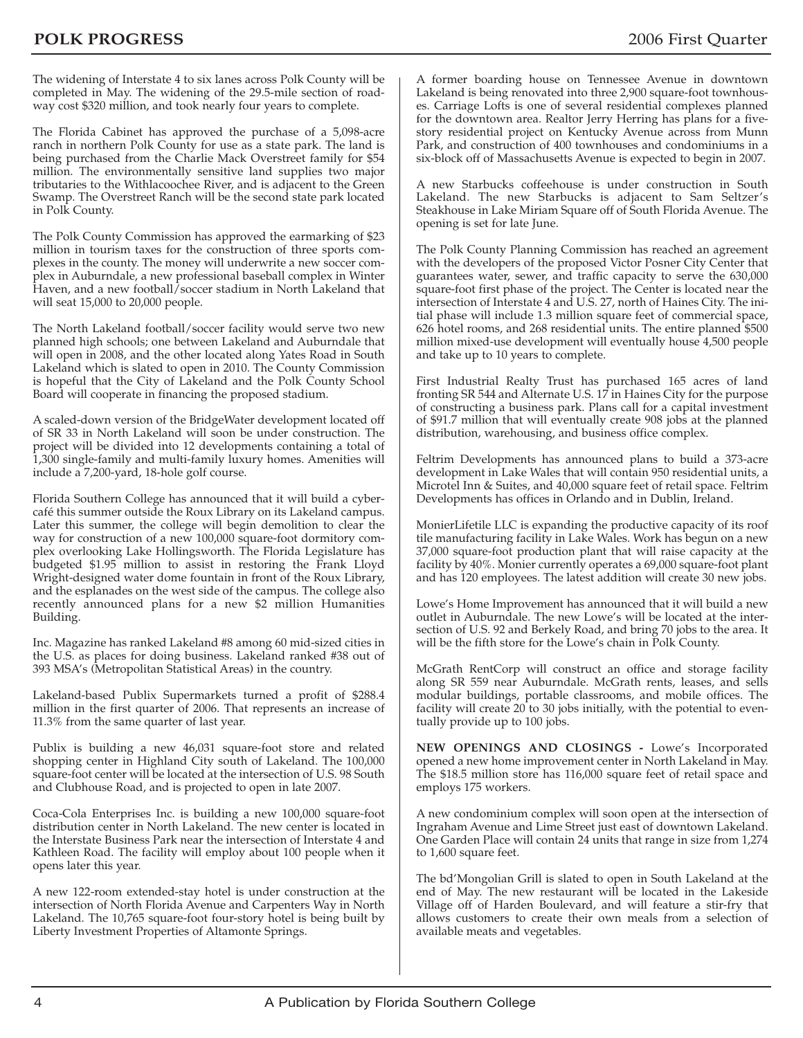The widening of Interstate 4 to six lanes across Polk County will be completed in May. The widening of the 29.5-mile section of roadway cost \$320 million, and took nearly four years to complete.

The Florida Cabinet has approved the purchase of a 5,098-acre ranch in northern Polk County for use as a state park. The land is being purchased from the Charlie Mack Overstreet family for \$54 million. The environmentally sensitive land supplies two major tributaries to the Withlacoochee River, and is adjacent to the Green Swamp. The Overstreet Ranch will be the second state park located in Polk County.

The Polk County Commission has approved the earmarking of \$23 million in tourism taxes for the construction of three sports complexes in the county. The money will underwrite a new soccer complex in Auburndale, a new professional baseball complex in Winter Haven, and a new football/soccer stadium in North Lakeland that will seat 15,000 to 20,000 people.

The North Lakeland football/soccer facility would serve two new planned high schools; one between Lakeland and Auburndale that will open in 2008, and the other located along Yates Road in South Lakeland which is slated to open in 2010. The County Commission is hopeful that the City of Lakeland and the Polk County School Board will cooperate in financing the proposed stadium.

A scaled-down version of the BridgeWater development located off of SR 33 in North Lakeland will soon be under construction. The project will be divided into 12 developments containing a total of 1,300 single-family and multi-family luxury homes. Amenities will include a 7,200-yard, 18-hole golf course.

Florida Southern College has announced that it will build a cybercafé this summer outside the Roux Library on its Lakeland campus. Later this summer, the college will begin demolition to clear the way for construction of a new 100,000 square-foot dormitory complex overlooking Lake Hollingsworth. The Florida Legislature has budgeted \$1.95 million to assist in restoring the Frank Lloyd Wright-designed water dome fountain in front of the Roux Library, and the esplanades on the west side of the campus. The college also recently announced plans for a new \$2 million Humanities Building.

Inc. Magazine has ranked Lakeland #8 among 60 mid-sized cities in the U.S. as places for doing business. Lakeland ranked #38 out of 393 MSA's (Metropolitan Statistical Areas) in the country.

Lakeland-based Publix Supermarkets turned a profit of \$288.4 million in the first quarter of 2006. That represents an increase of 11.3% from the same quarter of last year.

Publix is building a new 46,031 square-foot store and related shopping center in Highland City south of Lakeland. The 100,000 square-foot center will be located at the intersection of U.S. 98 South and Clubhouse Road, and is projected to open in late 2007.

Coca-Cola Enterprises Inc. is building a new 100,000 square-foot distribution center in North Lakeland. The new center is located in the Interstate Business Park near the intersection of Interstate 4 and Kathleen Road. The facility will employ about 100 people when it opens later this year.

A new 122-room extended-stay hotel is under construction at the intersection of North Florida Avenue and Carpenters Way in North Lakeland. The 10,765 square-foot four-story hotel is being built by Liberty Investment Properties of Altamonte Springs.

A former boarding house on Tennessee Avenue in downtown Lakeland is being renovated into three 2,900 square-foot townhouses. Carriage Lofts is one of several residential complexes planned for the downtown area. Realtor Jerry Herring has plans for a fivestory residential project on Kentucky Avenue across from Munn Park, and construction of 400 townhouses and condominiums in a six-block off of Massachusetts Avenue is expected to begin in 2007.

A new Starbucks coffeehouse is under construction in South Lakeland. The new Starbucks is adjacent to Sam Seltzer's Steakhouse in Lake Miriam Square off of South Florida Avenue. The opening is set for late June.

The Polk County Planning Commission has reached an agreement with the developers of the proposed Victor Posner City Center that guarantees water, sewer, and traffic capacity to serve the 630,000 square-foot first phase of the project. The Center is located near the intersection of Interstate 4 and U.S. 27, north of Haines City. The initial phase will include 1.3 million square feet of commercial space, 626 hotel rooms, and 268 residential units. The entire planned \$500 million mixed-use development will eventually house 4,500 people and take up to 10 years to complete.

First Industrial Realty Trust has purchased 165 acres of land fronting SR 544 and Alternate U.S. 17 in Haines City for the purpose of constructing a business park. Plans call for a capital investment of \$91.7 million that will eventually create 908 jobs at the planned distribution, warehousing, and business office complex.

Feltrim Developments has announced plans to build a 373-acre development in Lake Wales that will contain 950 residential units, a Microtel Inn & Suites, and 40,000 square feet of retail space. Feltrim Developments has offices in Orlando and in Dublin, Ireland.

MonierLifetile LLC is expanding the productive capacity of its roof tile manufacturing facility in Lake Wales. Work has begun on a new 37,000 square-foot production plant that will raise capacity at the facility by 40%. Monier currently operates a 69,000 square-foot plant and has 120 employees. The latest addition will create 30 new jobs.

Lowe's Home Improvement has announced that it will build a new outlet in Auburndale. The new Lowe's will be located at the intersection of U.S. 92 and Berkely Road, and bring 70 jobs to the area. It will be the fifth store for the Lowe's chain in Polk County.

McGrath RentCorp will construct an office and storage facility along SR 559 near Auburndale. McGrath rents, leases, and sells modular buildings, portable classrooms, and mobile offices. The facility will create 20 to 30 jobs initially, with the potential to eventually provide up to 100 jobs.

**NEW OPENINGS AND CLOSINGS -** Lowe's Incorporated opened a new home improvement center in North Lakeland in May. The \$18.5 million store has 116,000 square feet of retail space and employs 175 workers.

A new condominium complex will soon open at the intersection of Ingraham Avenue and Lime Street just east of downtown Lakeland. One Garden Place will contain 24 units that range in size from 1,274 to 1,600 square feet.

The bd'Mongolian Grill is slated to open in South Lakeland at the end of May. The new restaurant will be located in the Lakeside Village off of Harden Boulevard, and will feature a stir-fry that allows customers to create their own meals from a selection of available meats and vegetables.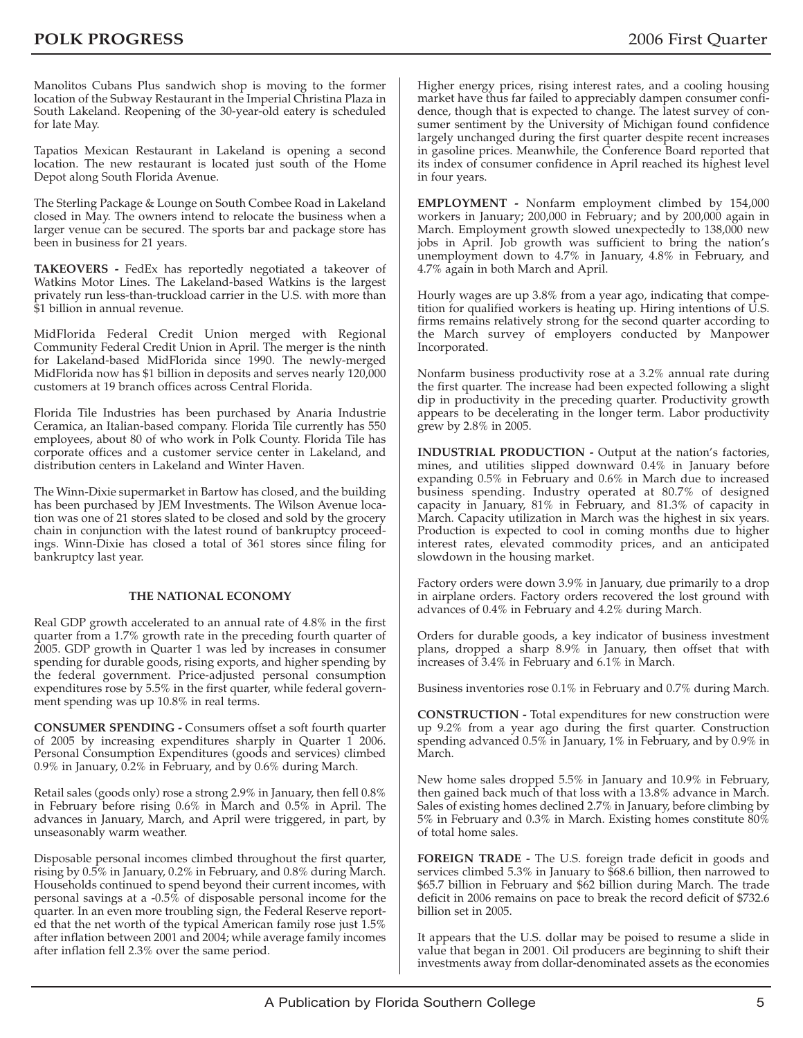Manolitos Cubans Plus sandwich shop is moving to the former location of the Subway Restaurant in the Imperial Christina Plaza in South Lakeland. Reopening of the 30-year-old eatery is scheduled for late May.

Tapatios Mexican Restaurant in Lakeland is opening a second location. The new restaurant is located just south of the Home Depot along South Florida Avenue.

The Sterling Package & Lounge on South Combee Road in Lakeland closed in May. The owners intend to relocate the business when a larger venue can be secured. The sports bar and package store has been in business for 21 years.

**TAKEOVERS -** FedEx has reportedly negotiated a takeover of Watkins Motor Lines. The Lakeland-based Watkins is the largest privately run less-than-truckload carrier in the U.S. with more than \$1 billion in annual revenue.

MidFlorida Federal Credit Union merged with Regional Community Federal Credit Union in April. The merger is the ninth for Lakeland-based MidFlorida since 1990. The newly-merged MidFlorida now has \$1 billion in deposits and serves nearly 120,000 customers at 19 branch offices across Central Florida.

Florida Tile Industries has been purchased by Anaria Industrie Ceramica, an Italian-based company. Florida Tile currently has 550 employees, about 80 of who work in Polk County. Florida Tile has corporate offices and a customer service center in Lakeland, and distribution centers in Lakeland and Winter Haven.

The Winn-Dixie supermarket in Bartow has closed, and the building has been purchased by JEM Investments. The Wilson Avenue location was one of 21 stores slated to be closed and sold by the grocery chain in conjunction with the latest round of bankruptcy proceedings. Winn-Dixie has closed a total of 361 stores since filing for bankruptcy last year.

#### **THE NATIONAL ECONOMY**

Real GDP growth accelerated to an annual rate of 4.8% in the first quarter from a 1.7% growth rate in the preceding fourth quarter of 2005. GDP growth in Quarter 1 was led by increases in consumer spending for durable goods, rising exports, and higher spending by the federal government. Price-adjusted personal consumption expenditures rose by 5.5% in the first quarter, while federal government spending was up 10.8% in real terms.

**CONSUMER SPENDING -** Consumers offset a soft fourth quarter of 2005 by increasing expenditures sharply in Quarter 1 2006. Personal Consumption Expenditures (goods and services) climbed 0.9% in January, 0.2% in February, and by 0.6% during March.

Retail sales (goods only) rose a strong 2.9% in January, then fell 0.8% in February before rising 0.6% in March and 0.5% in April. The advances in January, March, and April were triggered, in part, by unseasonably warm weather.

Disposable personal incomes climbed throughout the first quarter, rising by 0.5% in January, 0.2% in February, and 0.8% during March. Households continued to spend beyond their current incomes, with personal savings at a -0.5% of disposable personal income for the quarter. In an even more troubling sign, the Federal Reserve reported that the net worth of the typical American family rose just 1.5% after inflation between 2001 and 2004; while average family incomes after inflation fell 2.3% over the same period.

Higher energy prices, rising interest rates, and a cooling housing market have thus far failed to appreciably dampen consumer confidence, though that is expected to change. The latest survey of consumer sentiment by the University of Michigan found confidence largely unchanged during the first quarter despite recent increases in gasoline prices. Meanwhile, the Conference Board reported that its index of consumer confidence in April reached its highest level in four years.

**EMPLOYMENT -** Nonfarm employment climbed by 154,000 workers in January; 200,000 in February; and by 200,000 again in March. Employment growth slowed unexpectedly to 138,000 new jobs in April. Job growth was sufficient to bring the nation's unemployment down to 4.7% in January, 4.8% in February, and 4.7% again in both March and April.

Hourly wages are up 3.8% from a year ago, indicating that competition for qualified workers is heating up. Hiring intentions of U.S. firms remains relatively strong for the second quarter according to the March survey of employers conducted by Manpower Incorporated.

Nonfarm business productivity rose at a 3.2% annual rate during the first quarter. The increase had been expected following a slight dip in productivity in the preceding quarter. Productivity growth appears to be decelerating in the longer term. Labor productivity grew by 2.8% in 2005.

**INDUSTRIAL PRODUCTION -** Output at the nation's factories, mines, and utilities slipped downward 0.4% in January before expanding 0.5% in February and 0.6% in March due to increased business spending. Industry operated at 80.7% of designed capacity in January, 81% in February, and 81.3% of capacity in March. Capacity utilization in March was the highest in six years. Production is expected to cool in coming months due to higher interest rates, elevated commodity prices, and an anticipated slowdown in the housing market.

Factory orders were down 3.9% in January, due primarily to a drop in airplane orders. Factory orders recovered the lost ground with advances of 0.4% in February and 4.2% during March.

Orders for durable goods, a key indicator of business investment plans, dropped a sharp 8.9% in January, then offset that with increases of 3.4% in February and 6.1% in March.

Business inventories rose 0.1% in February and 0.7% during March.

**CONSTRUCTION -** Total expenditures for new construction were up 9.2% from a year ago during the first quarter. Construction spending advanced 0.5% in January, 1% in February, and by 0.9% in March.

New home sales dropped 5.5% in January and 10.9% in February, then gained back much of that loss with a 13.8% advance in March. Sales of existing homes declined 2.7% in January, before climbing by 5% in February and 0.3% in March. Existing homes constitute 80% of total home sales.

**FOREIGN TRADE -** The U.S. foreign trade deficit in goods and services climbed 5.3% in January to \$68.6 billion, then narrowed to \$65.7 billion in February and \$62 billion during March. The trade deficit in 2006 remains on pace to break the record deficit of \$732.6 billion set in 2005.

It appears that the U.S. dollar may be poised to resume a slide in value that began in 2001. Oil producers are beginning to shift their investments away from dollar-denominated assets as the economies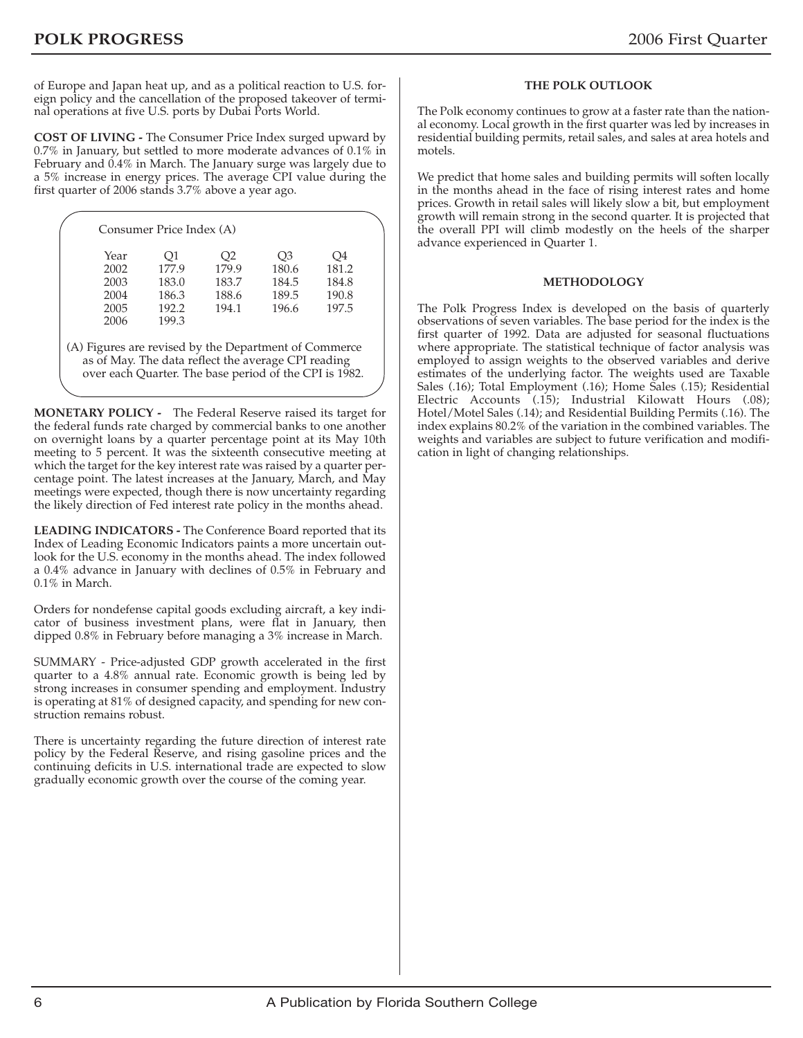of Europe and Japan heat up, and as a political reaction to U.S. foreign policy and the cancellation of the proposed takeover of terminal operations at five U.S. ports by Dubai Ports World.

**COST OF LIVING -** The Consumer Price Index surged upward by 0.7% in January, but settled to more moderate advances of 0.1% in February and 0.4% in March. The January surge was largely due to a 5% increase in energy prices. The average CPI value during the first quarter of 2006 stands 3.7% above a year ago.

| Year | O1    | O2    | O3    | O4    |
|------|-------|-------|-------|-------|
| 2002 | 177.9 | 179.9 | 180.6 | 181.2 |
| 2003 | 183.0 | 183.7 | 184.5 | 184.8 |
| 2004 | 186.3 | 188.6 | 189.5 | 190.8 |
| 2005 | 192.2 | 194.1 | 196.6 | 197.5 |
| 2006 | 199.3 |       |       |       |

(A) Figures are revised by the Department of Commerce as of May. The data reflect the average CPI reading over each Quarter. The base period of the CPI is 1982.

**MONETARY POLICY -** The Federal Reserve raised its target for the federal funds rate charged by commercial banks to one another on overnight loans by a quarter percentage point at its May 10th meeting to 5 percent. It was the sixteenth consecutive meeting at which the target for the key interest rate was raised by a quarter percentage point. The latest increases at the January, March, and May meetings were expected, though there is now uncertainty regarding the likely direction of Fed interest rate policy in the months ahead.

**LEADING INDICATORS -** The Conference Board reported that its Index of Leading Economic Indicators paints a more uncertain outlook for the U.S. economy in the months ahead. The index followed a 0.4% advance in January with declines of 0.5% in February and 0.1% in March.

Orders for nondefense capital goods excluding aircraft, a key indicator of business investment plans, were flat in January, then dipped 0.8% in February before managing a 3% increase in March.

SUMMARY - Price-adjusted GDP growth accelerated in the first quarter to a 4.8% annual rate. Economic growth is being led by strong increases in consumer spending and employment. Industry is operating at 81% of designed capacity, and spending for new construction remains robust.

There is uncertainty regarding the future direction of interest rate policy by the Federal Reserve, and rising gasoline prices and the continuing deficits in U.S. international trade are expected to slow gradually economic growth over the course of the coming year.

#### **THE POLK OUTLOOK**

The Polk economy continues to grow at a faster rate than the national economy. Local growth in the first quarter was led by increases in residential building permits, retail sales, and sales at area hotels and motels.

We predict that home sales and building permits will soften locally in the months ahead in the face of rising interest rates and home prices. Growth in retail sales will likely slow a bit, but employment growth will remain strong in the second quarter. It is projected that the overall PPI will climb modestly on the heels of the sharper advance experienced in Quarter 1.

#### **METHODOLOGY**

The Polk Progress Index is developed on the basis of quarterly observations of seven variables. The base period for the index is the first quarter of 1992. Data are adjusted for seasonal fluctuations where appropriate. The statistical technique of factor analysis was employed to assign weights to the observed variables and derive estimates of the underlying factor. The weights used are Taxable Sales (.16); Total Employment (.16); Home Sales (.15); Residential Electric Accounts (.15); Industrial Kilowatt Hours (.08); Hotel/Motel Sales (.14); and Residential Building Permits (.16). The index explains 80.2% of the variation in the combined variables. The weights and variables are subject to future verification and modification in light of changing relationships.